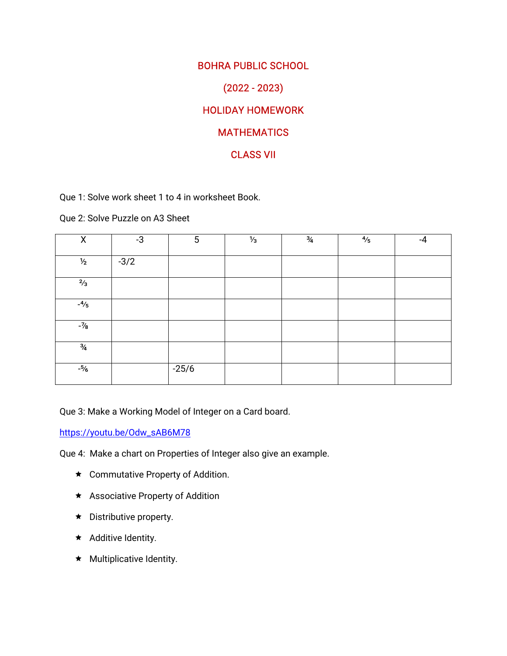# **BOHRA PUBLIC SCHOOL** (2022-2023) **HOLIDAY HOMEWORK MATHEMATICS CLASS VII**

Que 1: Solve work sheet 1 to 4 in worksheet Book.

Que 2: Solve Puzzle on A3 Sheet

| X             | $-3$   | $5\phantom{.0}$ | $\frac{1}{3}$ | $\frac{3}{4}$ | $\frac{4}{5}$ | $-4$ |
|---------------|--------|-----------------|---------------|---------------|---------------|------|
|               |        |                 |               |               |               |      |
| $\frac{1}{2}$ | $-3/2$ |                 |               |               |               |      |
| $\frac{2}{3}$ |        |                 |               |               |               |      |
| $-4/5$        |        |                 |               |               |               |      |
| $-7/8$        |        |                 |               |               |               |      |
| $\frac{3}{4}$ |        |                 |               |               |               |      |
| $-5/6$        |        | $-25/6$         |               |               |               |      |

Que 3: Make a Working Model of Integer on a Card board.

https://youtu.be/Odw\_sAB6M78

Que 4: Make a chart on Properties of Integer also give an example.

- $\star$  Commutative Property of Addition.
- $\star$  Associative Property of Addition
- $\star$  Distributive property.
- $\star$  Additive Identity.
- $\star$  Multiplicative Identity.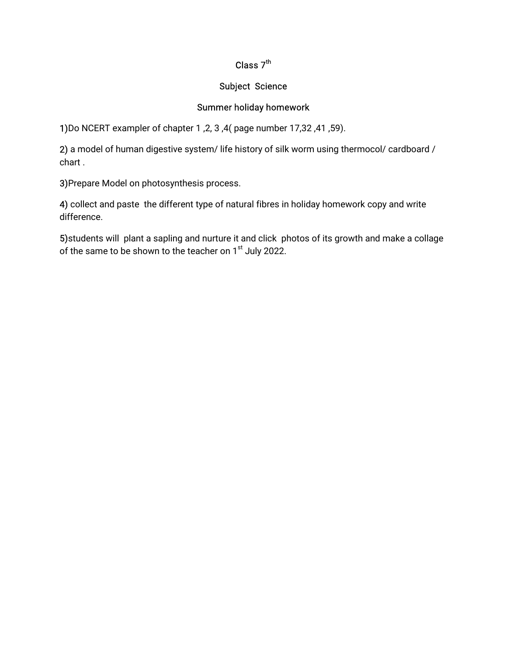## Class  $7<sup>th</sup>$

#### **Subject Science**

## Summer holiday homework

1) Do NCERT exampler of chapter 1, 2, 3, 4(page number 17, 32, 41, 59).

2) a model of human digestive system/ life history of silk worm using thermocol/ cardboard / chart.

3) Prepare Model on photosynthesis process.

4) collect and paste the different type of natural fibres in holiday homework copy and write difference.

5) students will plant a sapling and nurture it and click photos of its growth and make a collage of the same to be shown to the teacher on 1<sup>st</sup> July 2022.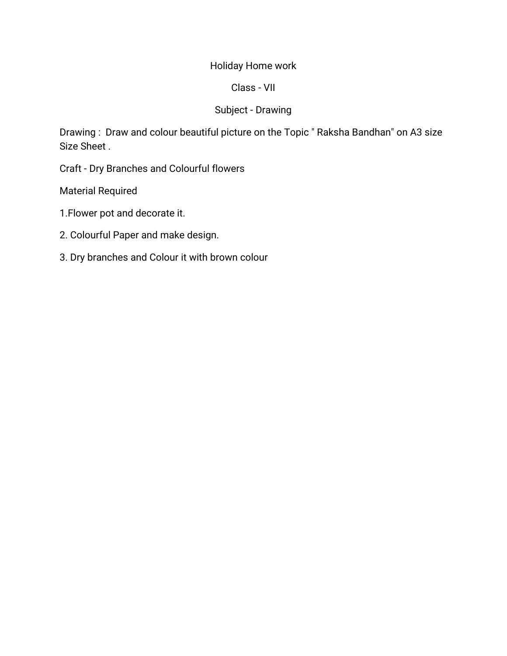## Holiday Home work

## Class-VII

## Subject-Drawing

Drawing: Draw and colour beautiful picture on the Topic " Raksha Bandhan" on A3 size Size Sheet.

Craft - Dry Branches and Colourful flowers

Material Required

1. Flower pot and decorate it.

- 2. Colourful Paper and make design.
- 3. Dry branches and Colour it with brown colour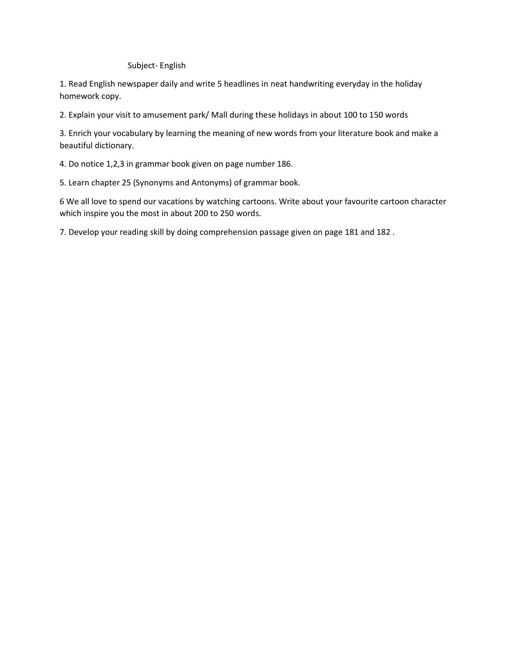Subject- English

1. Read English newspaper daily and write 5 headlines in neat handwriting everyday in the holiday homework copy.

2. Explain your visit to amusement park/ Mall during these holidays in about 100 to 150 words

3. Enrich your vocabulary by learning the meaning of new words from your literature book and make a beautiful dictionary.

4. Do notice 1,2,3 in grammar book given on page number 186.

5. Learn chapter 25 (Synonyms and Antonyms) of grammar book.

6 We all love to spend our vacations by watching cartoons. Write about your favourite cartoon character which inspire you the most in about 200 to 250 words.

7. Develop your reading skill by doing comprehension passage given on page 181 and 182 .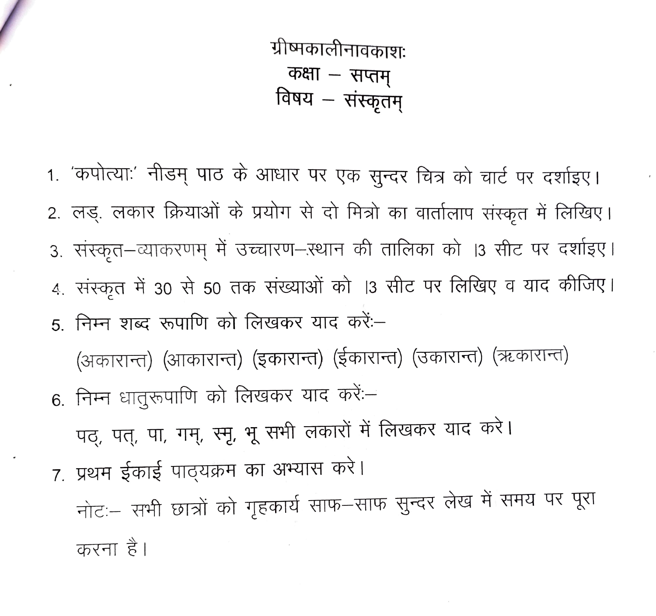ग्रीष्मकालीनावकाशः कक्षा – सप्तम् विषय – संस्कृतम्

1. 'कपोत्याः' नीडम् पाठ के आधार पर एक सुन्दर चित्र को चार्ट पर दर्शाइए। 2. लड़. लकार क्रियाओं के प्रयोग से दो मित्रो का वार्तालाप संस्कृत में लिखिए। 3. संस्कृत–व्याकरणम् में उच्चारण–ऱ्थान की तालिका को ।3 सीट पर दर्शाइए। 4. संस्कृत में 30 से 50 तक संख्याओं को |3 सीट पर लिखिए व याद कीजिए। 5. निम्न शब्द रूपाणि को लिखकर याद करें:-

(अकारान्त) (आकारान्त) (इकारान्त) (ईकारान्त) (उकारान्त) (ऋकारान्त) 6. निम्न धातुरूपाणि को लिखकर याद करें:-

पठ्, पत्, पा, गम्, स्मृ, भू सभी लकारों में लिखकर याद करे।

7. प्रथम ईकाई पाठ्यक्रम का अभ्यास करे।

नोटः सभी छात्रों को गृहकार्य साफ-साफ सुन्दर लेख में समय पर पूरा करना है।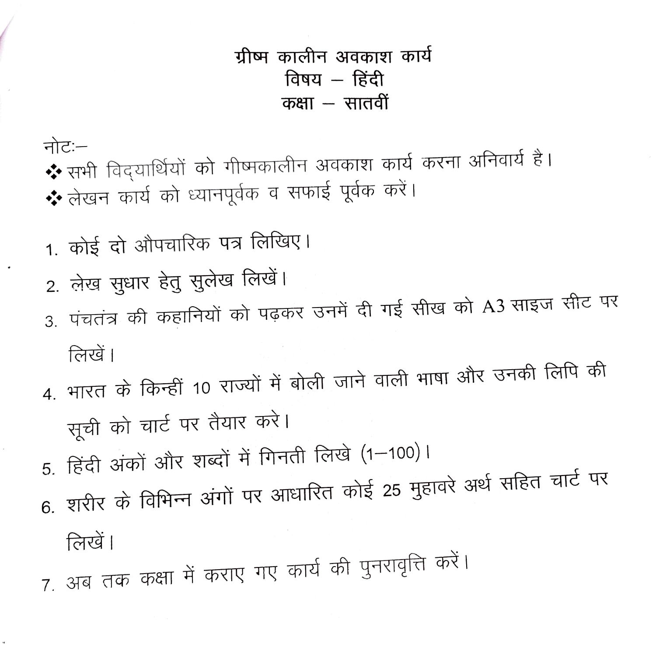- लिखें। 7. अब तक कक्षा में कराए गए कार्य की पुनरावृत्ति करें।
- सूची को चार्ट पर तैयार करें। 5. हिंदी अंकों और शब्दों में गिनती लिखे (1-100)। 6. शरीर के विभिन्न अंगों पर आधारित कोई 25 मुहावरे अर्थ सहित चार्ट पर
- लिखें। 4. भारत के किन्हीं 10 राज्यों में बोली जाने वाली भाषा और उनकी लिपि की
- 2. लेख सूधार हेतु सुलेख लिखें। 3. पंचतंत्र की कहानियों को पढ़कर उनमें दी गई सीख को A3 साइज सीट पर
- 1. कोई दो औपचारिक पत्र लिखिए।

नोट:– ❖ सभी विद्यार्थियों को गीष्मकालीन अवकाश कार्य करना अनिवार्य है। ❖ लेखन कार्य को ध्यानपूर्वक व सफाई पूर्वक करें।

ग्रीष्म कालीन अवकाश कार्य विषय – हिंदी कक्षा – सातवीं